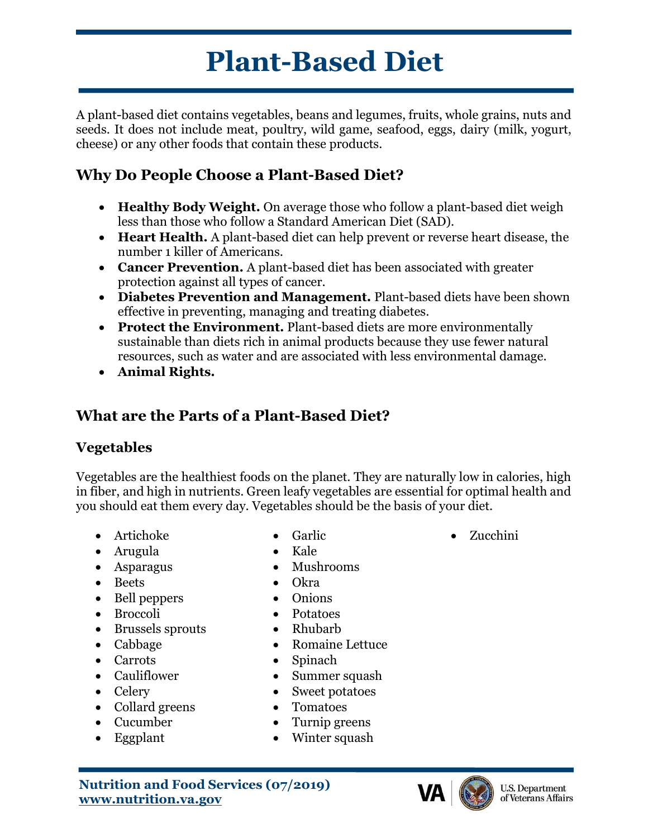# **Plant-Based Diet**

A plant-based diet contains vegetables, beans and legumes, fruits, whole grains, nuts and seeds. It does not include meat, poultry, wild game, seafood, eggs, dairy (milk, yogurt, cheese) or any other foods that contain these products.

# **Why Do People Choose a Plant-Based Diet?**

- **Healthy Body Weight.** On average those who follow a plant-based diet weigh less than those who follow a Standard American Diet (SAD).
- **Heart Health.** A plant-based diet can help prevent or reverse heart disease, the number 1 killer of Americans.
- **Cancer Prevention.** A plant-based diet has been associated with greater protection against all types of cancer.
- **Diabetes Prevention and Management.** Plant-based diets have been shown effective in preventing, managing and treating diabetes.
- **Protect the Environment.** Plant-based diets are more environmentally sustainable than diets rich in animal products because they use fewer natural resources, such as water and are associated with less environmental damage.
- **Animal Rights.**

# **What are the Parts of a Plant-Based Diet?**

#### **Vegetables**

Vegetables are the healthiest foods on the planet. They are naturally low in calories, high in fiber, and high in nutrients. Green leafy vegetables are essential for optimal health and you should eat them every day. Vegetables should be the basis of your diet.

- Artichoke
- Arugula
- Asparagus
- Beets
- Bell peppers
- Broccoli
- Brussels sprouts
- Cabbage
- Carrots
- Cauliflower
- Celery
- Collard greens
- Cucumber
- Eggplant

• Garlic

• Zucchini

- Kale • Mushrooms
- Okra
- Onions
- Potatoes
- Rhubarb
- Romaine Lettuce
- Spinach
- Summer squash
- Sweet potatoes
- Tomatoes
- Turnip greens
- Winter squash

**Nutrition and Food Services (07/2019) www.nutrition.va.gov**

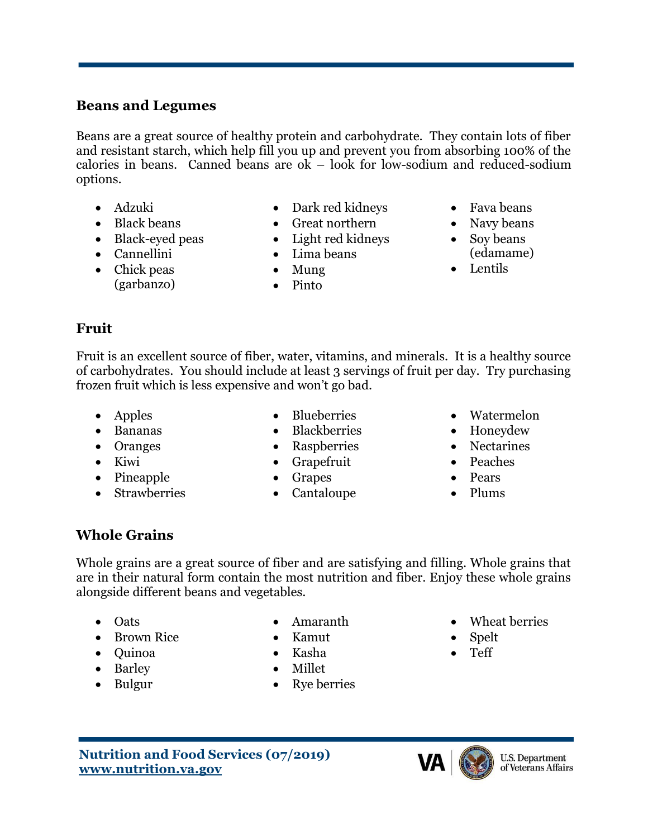#### **Beans and Legumes**

Beans are a great source of healthy protein and carbohydrate. They contain lots of fiber and resistant starch, which help fill you up and prevent you from absorbing 100% of the calories in beans. Canned beans are  $\alpha$  – look for low-sodium and reduced-sodium options.

- Adzuki
- Black beans
- Black-eyed peas
- Cannellini
- Chick peas (garbanzo)
- Dark red kidneys
- Great northern
- Light red kidneys
- Lima beans
- Mung
- Pinto
- Fava beans
- Navy beans
- Soy beans
- (edamame)
- Lentils

#### **Fruit**

Fruit is an excellent source of fiber, water, vitamins, and minerals. It is a healthy source of carbohydrates. You should include at least 3 servings of fruit per day. Try purchasing frozen fruit which is less expensive and won't go bad.

- Apples
- Bananas
- Oranges
- Kiwi
- Pineapple
- Strawberries
- Blueberries
- Blackberries
- Raspberries
- Grapefruit
- Grapes
- Cantaloupe
- Watermelon
- Honeydew
- Nectarines
- Peaches
- Pears
- Plums

#### **Whole Grains**

Whole grains are a great source of fiber and are satisfying and filling. Whole grains that are in their natural form contain the most nutrition and fiber. Enjoy these whole grains alongside different beans and vegetables.

- Oats
- Brown Rice
- Quinoa
- Barley
- Bulgur
- Amaranth
- Kamut
- Kasha
- Millet
- Rye berries
- Wheat berries
- Spelt
- Teff





- 
- 
- 
- 
-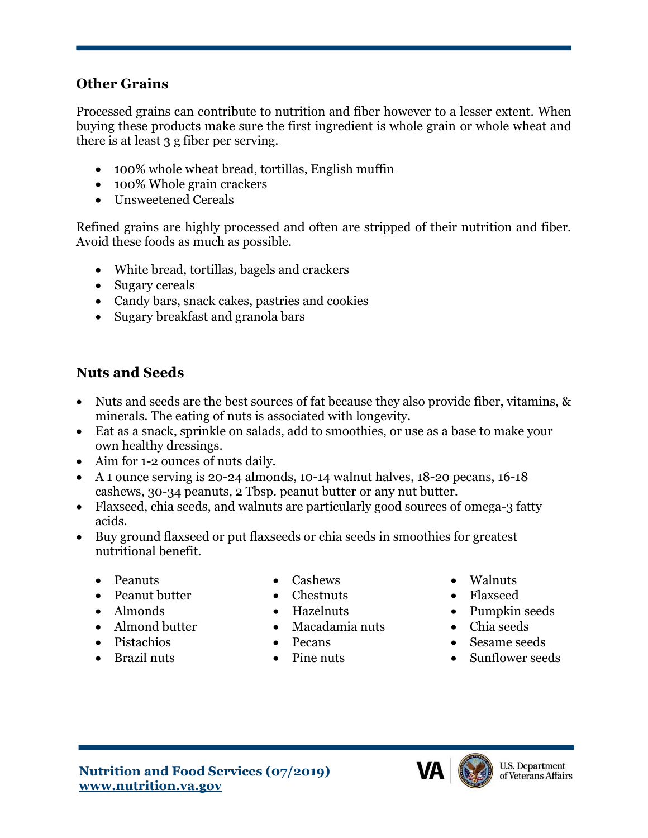#### **Other Grains**

Processed grains can contribute to nutrition and fiber however to a lesser extent. When buying these products make sure the first ingredient is whole grain or whole wheat and there is at least 3 g fiber per serving.

- 100% whole wheat bread, tortillas, English muffin
- 100% Whole grain crackers
- Unsweetened Cereals

Refined grains are highly processed and often are stripped of their nutrition and fiber. Avoid these foods as much as possible.

- White bread, tortillas, bagels and crackers
- Sugary cereals
- Candy bars, snack cakes, pastries and cookies
- Sugary breakfast and granola bars

#### **Nuts and Seeds**

- Nuts and seeds are the best sources of fat because they also provide fiber, vitamins, & minerals. The eating of nuts is associated with longevity.
- Eat as a snack, sprinkle on salads, add to smoothies, or use as a base to make your own healthy dressings.
- Aim for 1-2 ounces of nuts daily.
- A 1 ounce serving is 20-24 almonds, 10-14 walnut halves, 18-20 pecans, 16-18 cashews, 30-34 peanuts, 2 Tbsp. peanut butter or any nut butter.
- Flaxseed, chia seeds, and walnuts are particularly good sources of omega-3 fatty acids.
- Buy ground flaxseed or put flaxseeds or chia seeds in smoothies for greatest nutritional benefit.
	- Peanuts
	- Peanut butter
	- Almonds
	- Almond butter
	- Pistachios
	- Brazil nuts
- Cashews
- Chestnuts
- Hazelnuts
- Macadamia nuts
- Pecans
- Pine nuts
- Walnuts
- Flaxseed
- Pumpkin seeds
- Chia seeds
- Sesame seeds
- Sunflower seeds

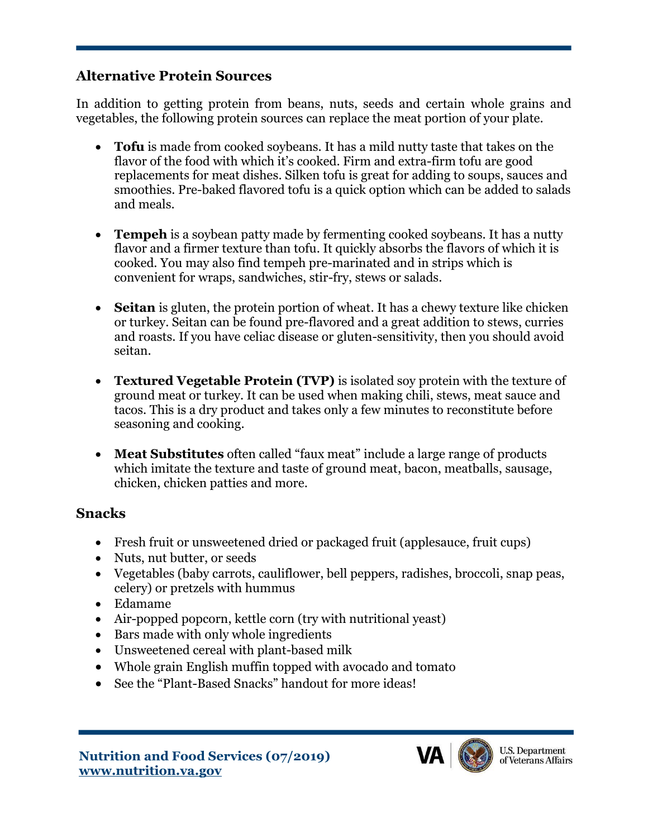#### **Alternative Protein Sources**

In addition to getting protein from beans, nuts, seeds and certain whole grains and vegetables, the following protein sources can replace the meat portion of your plate.

- **Tofu** is made from cooked soybeans. It has a mild nutty taste that takes on the flavor of the food with which it's cooked. Firm and extra-firm tofu are good replacements for meat dishes. Silken tofu is great for adding to soups, sauces and smoothies. Pre-baked flavored tofu is a quick option which can be added to salads and meals.
- **Tempeh** is a soybean patty made by fermenting cooked soybeans. It has a nutty flavor and a firmer texture than tofu. It quickly absorbs the flavors of which it is cooked. You may also find tempeh pre-marinated and in strips which is convenient for wraps, sandwiches, stir-fry, stews or salads.
- **Seitan** is gluten, the protein portion of wheat. It has a chewy texture like chicken or turkey. Seitan can be found pre-flavored and a great addition to stews, curries and roasts. If you have celiac disease or gluten-sensitivity, then you should avoid seitan.
- **Textured Vegetable Protein (TVP)** is isolated soy protein with the texture of ground meat or turkey. It can be used when making chili, stews, meat sauce and tacos. This is a dry product and takes only a few minutes to reconstitute before seasoning and cooking.
- **Meat Substitutes** often called "faux meat" include a large range of products which imitate the texture and taste of ground meat, bacon, meatballs, sausage, chicken, chicken patties and more.

#### **Snacks**

- Fresh fruit or unsweetened dried or packaged fruit (applesauce, fruit cups)
- Nuts, nut butter, or seeds
- Vegetables (baby carrots, cauliflower, bell peppers, radishes, broccoli, snap peas, celery) or pretzels with hummus
- Edamame
- Air-popped popcorn, kettle corn (try with nutritional yeast)
- Bars made with only whole ingredients
- Unsweetened cereal with plant-based milk
- Whole grain English muffin topped with avocado and tomato
- See the "Plant-Based Snacks" handout for more ideas!

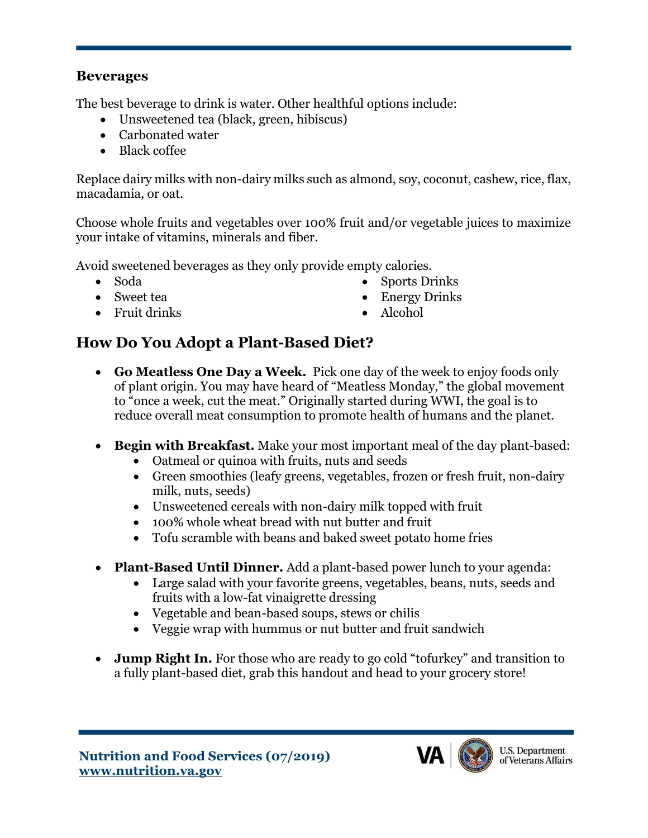#### **Beverages**

The best beverage to drink is water. Other healthful options include:

- Unsweetened tea (black, green, hibiscus)
- Carbonated water
- Black coffee

Replace dairy milks with non-dairy milks such as almond, soy, coconut, cashew, rice, flax, macadamia, or oat.

Choose whole fruits and vegetables over 100% fruit and/or vegetable juices to maximize your intake of vitamins, minerals and fiber.

Avoid sweetened beverages as they only provide empty calories.

- Soda
- Sweet tea
- Fruit drinks
- Sports Drinks
- Energy Drinks
- Alcohol

# **How Do You Adopt a Plant-Based Diet?**

- **Go Meatless One Day a Week.** Pick one day of the week to enjoy foods only of plant origin. You may have heard of "Meatless Monday," the global movement to "once a week, cut the meat." Originally started during WWI, the goal is to reduce overall meat consumption to promote health of humans and the planet.
- **Begin with Breakfast.** Make your most important meal of the day plant-based:
	- Oatmeal or quinoa with fruits, nuts and seeds
	- Green smoothies (leafy greens, vegetables, frozen or fresh fruit, non-dairy milk, nuts, seeds)
	- Unsweetened cereals with non-dairy milk topped with fruit
	- 100% whole wheat bread with nut butter and fruit
	- Tofu scramble with beans and baked sweet potato home fries
- **Plant-Based Until Dinner.** Add a plant-based power lunch to your agenda:
	- Large salad with your favorite greens, vegetables, beans, nuts, seeds and fruits with a low-fat vinaigrette dressing
	- Vegetable and bean-based soups, stews or chilis
	- Veggie wrap with hummus or nut butter and fruit sandwich
- **Jump Right In.** For those who are ready to go cold "tofurkey" and transition to a fully plant-based diet, grab this handout and head to your grocery store!